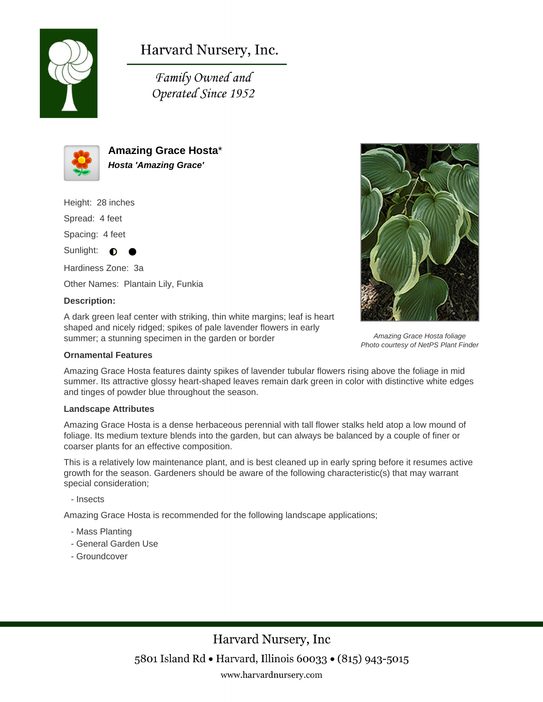

Harvard Nursery, Inc.

Family Owned and Operated Since 1952



**Amazing Grace Hosta**\* **Hosta 'Amazing Grace'**

Height: 28 inches Spread: 4 feet

Spacing: 4 feet

Sunlight:  $\bullet$ 

Hardiness Zone: 3a Other Names: Plantain Lily, Funkia

## **Description:**

A dark green leaf center with striking, thin white margins; leaf is heart shaped and nicely ridged; spikes of pale lavender flowers in early summer; a stunning specimen in the garden or border

## **Ornamental Features**

Amazing Grace Hosta features dainty spikes of lavender tubular flowers rising above the foliage in mid summer. Its attractive glossy heart-shaped leaves remain dark green in color with distinctive white edges and tinges of powder blue throughout the season.

## **Landscape Attributes**

Amazing Grace Hosta is a dense herbaceous perennial with tall flower stalks held atop a low mound of foliage. Its medium texture blends into the garden, but can always be balanced by a couple of finer or coarser plants for an effective composition.

This is a relatively low maintenance plant, and is best cleaned up in early spring before it resumes active growth for the season. Gardeners should be aware of the following characteristic(s) that may warrant special consideration;

- Insects

Amazing Grace Hosta is recommended for the following landscape applications;

- Mass Planting
- General Garden Use
- Groundcover





Amazing Grace Hosta foliage Photo courtesy of NetPS Plant Finder